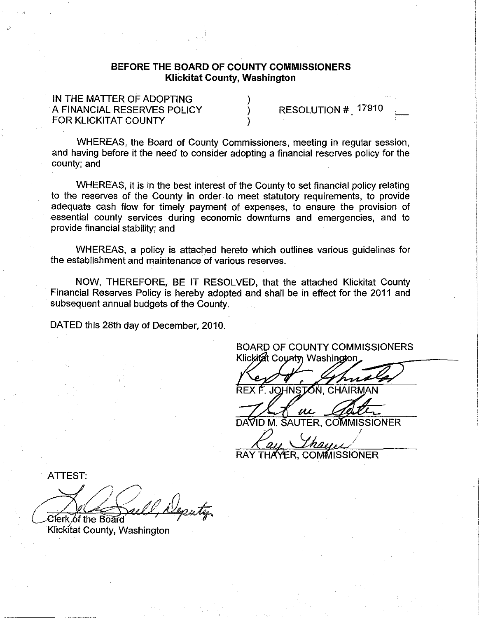## BEFORE **THE** BOARD OF COUNTY COMMISSIONERS Klickitat County, Washington

) ) )

IN THE MATTER OF ADOPTING A FINANCIAL RESERVES POLICY FOR KLICKITAT COUNTY

RESOLUTION # 17910

WHEREAS, the Board of County Commissioners, meeting in regular session, and having before it the need to consider adopting a financial reserves policy for the county; and

WHEREAS, it is in the best interest of the County to set financial policy relating to the reserves of the County in order· to meet statutory requirements, to provide adequate cash flow for timely payment of expenses, to ensure the provision of essential county services during economic downturns and emergencies, and to provide financial stability; and

WHEREAS, a policy is attached hereto which outlines various guidelines for the establishment and maintenance of various reserves.

NOW, THEREFORE, BE IT RESOLVED, that the attached Klickitat County Financial Reserves Policy is hereby adopted and shall be in effect for the 2011 and subsequent annual budgets of the County.

DATED this 28th day of December, 2010.

BOARD OF COUNTY COMMISSIONERS Klickitat County Washington

JOHNSTON, CHAIRM

 $\mu$ M. SAUTER. COMMISSIONER

RAY THAYER, COMMISSIONER

ATTEST:

Deputy *<i>C***lerk of the Board** 

Klickitat County, Washington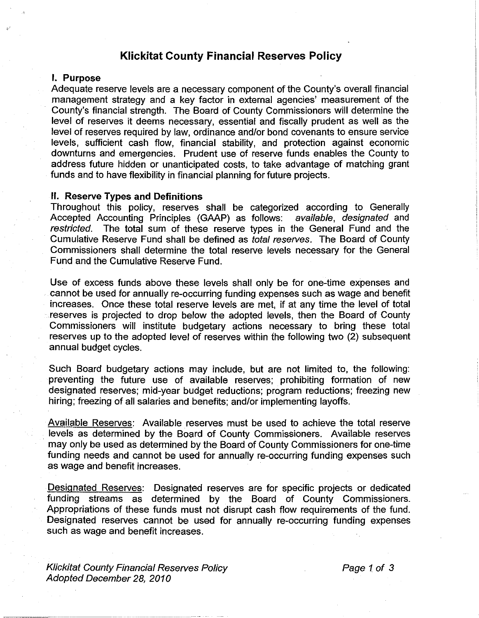# **Klickitat County Financial** Reserves **Policy**

## I. Purpose

Adequate reserve levels are a necessary component of the County's overall financial management strategy and a key factor in external agencies' measurement of the County's financial strength. The Board of County Commissioners will determine the level of reserves it deems necessary, essential and fiscally prudent as well as the level of reserves required by law, ordinance and/or bond covenants to ensure service levels, sufficient cash flow, financial stability, and protection against economic downturns and emergencies. Prudent use of reserve funds enables the County to address future hidden or unanticipated costs, to take advantage of matching grant funds and to have flexibility in financial planning for future projects.

### II. Reserve Types and Definitions

Throughout this policy, reserves shall be categorized according to Generally Accepted Accounting Principles (GAAP) as follows: available, designated and restricted. The total sum of these reserve types in the General Fund and the Cumulative Reserve Fund shall be defined as total reserves. The Board of County Commissioners shall determine the total reserve levels necessary for the General Fund and the Cumulative Reserve Fund.

Use of excess funds above these levels shall only be for one-time expenses and cannot be used for annually re-occurring funding expenses such as wage and benefit increases. Once these total reserve levels are met, if at any time the level of total reserves is projected to drop below the adopted levels, then the Board of County Commissioners will institute budgetary actions necessary to bring these total reserves up to the adopted level of reserves within the following two (2) subsequent annual budget cycles.

Such Board budgetary actions may include, but are not limited to, the following: preventing the future use of available reserves; prohibiting formation of new designated reserves; mid-year budget reductions; program reductions; freezing new hiring; freezing of all salaries and benefits; and/or implementing layoffs.

Available Reserves: Available reserves must be used to achieve the total reserve levels as determined by the Board of County Commissioners. Available reserves may only be used as determined by the Board of County Commissioners for one-time funding needs and cannot be used for annually re-occurring funding expenses such as wage and benefit increases.

Designated Reserves: Designated reserves are for specific projects or dedicated funding streams as determined by the Board of County Commissioners. Appropriations of these funds must not disrupt cash flow requirements of the fund. Designated reserves cannot be used for annually re-occurring funding expenses such as wage and benefit increases.

Klickitat County Financial Reserves Policy Adopted December 28, 2010

Page 1 of 3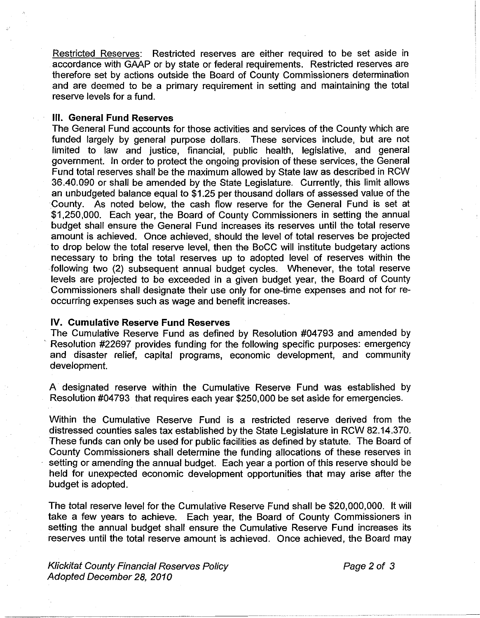Restricted Reserves: Restricted reserves are either required to be set aside in accordance with GAAP or by state or federal requirements. Restricted reserves are therefore set by actions outside the Board of County Commissioners determination and are deemed to be a primary requirement in setting and maintaining the total reserve levels for a fund.

### III. General **Fund** Reserves

The General Fund accounts for those activities and services of the County which are funded largely by general purpose dollars. These services include, but are not limited to law and justice, financial, public health, legislative, and general government. In order to protect the ongoing provision of these services, the General Fund total reserves shall be the maximum allowed by State law as described in RCW 36.40.090 or shall be amended by the State Legislature. Currently, this limit allows an unbudgeted balance equal to \$1.25 per thousand dollars of assessed value of the County. As noted below, the cash flow reserve for the General Fund is set at \$1,250,000. Each year, the Board of County Commissioners in setting the annual budget shall ensure the General Fund increases its reserves until the total reserve amount is achieved. Once achieved, should the level of total reserves be projected to drop below the total reserve level, then the BoCC will institute budgetary actions necessary to bring the total reserves up to adopted level of reserves within the following two (2) subsequent annual budget cycles. Whenever, the total reserve levels are projected to be exceeded in a given budget year, the Board of County Commissioners shall designate their use only for one-time expenses and not for reoccurring expenses such as wage and benefit increases.

#### IV. Cumulative Reserve **Fund** Reserves

The Cumulative Reserve Fund as defined by Resolution #04793 and amended by Resolution #22697 provides funding for the following specific purposes: emergency and disaster relief, capital programs, economic development, and community development.

A designated reserve within the Cumulative Reserve Fund was established by Resolution #04793 that requires each year \$250,000 be set aside for emergencies.

Within the Cumulative Reserve Fund is a restricted reserve derived from the distressed counties sales tax established by the State Legislature in RCW 82.14.370. These funds can only be used for public facilities as defined by statute. The Board of County Commissioners shall determine the funding allocations of these reserves in setting or amending the annual budget. Each year a portion of this reserve should be held for unexpected economic development opportunities that may arise after the budget is adopted.

The total reserve level for the Cumulative Reserve Fund shall be \$20,000,000. It will take a few years to achieve. Each year, the Board of County Commissioners in setting the annual budget shall ensure the Cumulative Reserve Fund increases its reserves until the total reserve amount is achieved. Once achieved, the Board may

Klickitat County Financial Reserves Policy Adopted December 28,2010

Page 2 of 3